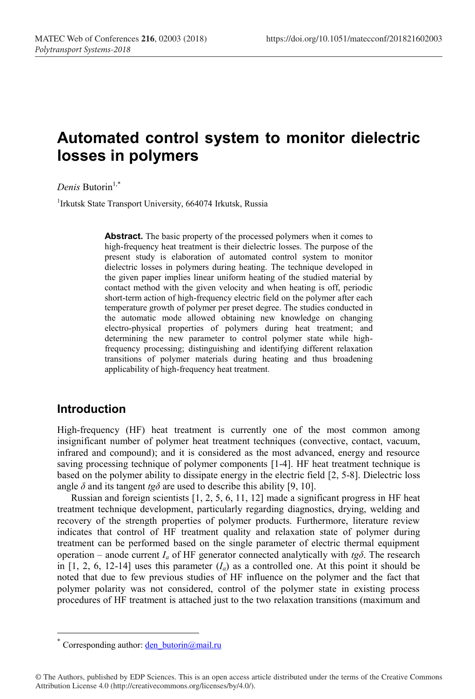# **Automated control system to monitor dielectric losses in polymers**

*Denis* Butorin<sup>1,\*</sup>

<sup>1</sup>Irkutsk State Transport University, 664074 Irkutsk, Russia

**Abstract.** The basic property of the processed polymers when it comes to high-frequency heat treatment is their dielectric losses. The purpose of the present study is elaboration of automated control system to monitor dielectric losses in polymers during heating. The technique developed in the given paper implies linear uniform heating of the studied material by contact method with the given velocity and when heating is off, periodic short-term action of high-frequency electric field on the polymer after each temperature growth of polymer per preset degree. The studies conducted in the automatic mode allowed obtaining new knowledge on changing electro-physical properties of polymers during heat treatment; and determining the new parameter to control polymer state while highfrequency processing; distinguishing and identifying different relaxation transitions of polymer materials during heating and thus broadening applicability of high-frequency heat treatment.

### **Introduction**

High-frequency (HF) heat treatment is currently one of the most common among insignificant number of polymer heat treatment techniques (convective, contact, vacuum, infrared and compound); and it is considered as the most advanced, energy and resource saving processing technique of polymer components [1-4]. HF heat treatment technique is based on the polymer ability to dissipate energy in the electric field [2, 5-8]. Dielectric loss angle  $\delta$  and its tangent *tg* $\delta$  are used to describe this ability [9, 10].

Russian and foreign scientists [1, 2, 5, 6, 11, 12] made a significant progress in HF heat treatment technique development, particularly regarding diagnostics, drying, welding and recovery of the strength properties of polymer products. Furthermore, literature review indicates that control of HF treatment quality and relaxation state of polymer during treatment can be performed based on the single parameter of electric thermal equipment operation – anode current  $I_a$  of HF generator connected analytically with  $t_g\delta$ . The research in  $[1, 2, 6, 12-14]$  uses this parameter  $(I_a)$  as a controlled one. At this point it should be noted that due to few previous studies of HF influence on the polymer and the fact that polymer polarity was not considered, control of the polymer state in existing process procedures of HF treatment is attached just to the two relaxation transitions (maximum and

<sup>\*</sup> Corresponding author: den butorin@mail.ru

<sup>©</sup> The Authors, published by EDP Sciences. This is an open access article distributed under the terms of the Creative Commons Attribution License 4.0 (http://creativecommons.org/licenses/by/4.0/).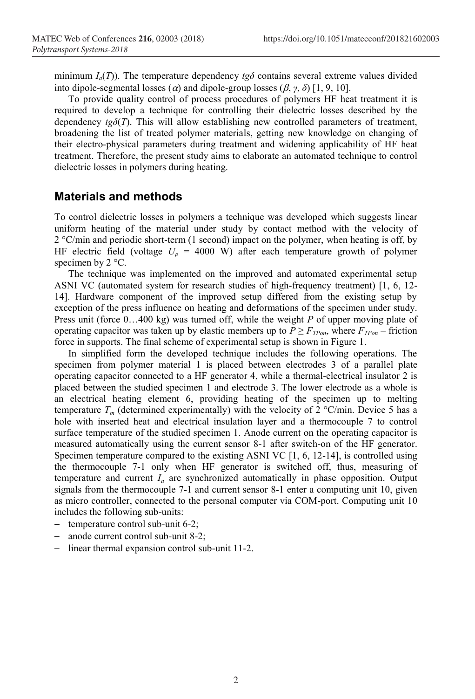minimum  $I_a(T)$ ). The temperature dependency  $t_g\delta$  contains several extreme values divided into dipole-segmental losses ( $\alpha$ ) and dipole-group losses ( $\beta$ ,  $\gamma$ ,  $\delta$ ) [1, 9, 10].

To provide quality control of process procedures of polymers HF heat treatment it is required to develop a technique for controlling their dielectric losses described by the dependency  $t\varrho\delta(T)$ . This will allow establishing new controlled parameters of treatment, broadening the list of treated polymer materials, getting new knowledge on changing of their electro-physical parameters during treatment and widening applicability of HF heat treatment. Therefore, the present study aims to elaborate an automated technique to control dielectric losses in polymers during heating.

#### **Materials and methods**

To control dielectric losses in polymers a technique was developed which suggests linear uniform heating of the material under study by contact method with the velocity of 2 °С/min and periodic short-term (1 second) impact on the polymer, when heating is off, by HF electric field (voltage  $U_p = 4000$  W) after each temperature growth of polymer specimen by 2 °С.

The technique was implemented on the improved and automated experimental setup ASNI VC (automated system for research studies of high-frequency treatment) [1, 6, 12- 14]. Hardware component of the improved setup differed from the existing setup by exception of the press influence on heating and deformations of the specimen under study. Press unit (force 0…400 kg) was turned off, while the weight *P* of upper moving plate of operating capacitor was taken up by elastic members up to  $P \geq F_{TPon}$ , where  $F_{TPon}$  – friction force in supports. The final scheme of experimental setup is shown in Figure 1.

In simplified form the developed technique includes the following operations. The specimen from polymer material 1 is placed between electrodes 3 of a parallel plate operating capacitor connected to a HF generator 4, while a thermal-electrical insulator 2 is placed between the studied specimen 1 and electrode 3. The lower electrode as a whole is an electrical heating element 6, providing heating of the specimen up to melting temperature  $T_m$  (determined experimentally) with the velocity of 2 °C/min. Device 5 has a hole with inserted heat and electrical insulation layer and a thermocouple 7 to control surface temperature of the studied specimen 1. Anode current on the operating capacitor is measured automatically using the current sensor 8-1 after switch-on of the HF generator. Specimen temperature compared to the existing ASNI VC [1, 6, 12-14], is controlled using the thermocouple 7-1 only when HF generator is switched off, thus, measuring of temperature and current  $I_a$  are synchronized automatically in phase opposition. Output signals from the thermocouple 7-1 and current sensor 8-1 enter a computing unit 10, given as micro controller, connected to the personal computer via COM-port. Computing unit 10 includes the following sub-units:

- $-$  temperature control sub-unit 6-2;
- anode current control sub-unit 8-2;
- linear thermal expansion control sub-unit 11-2.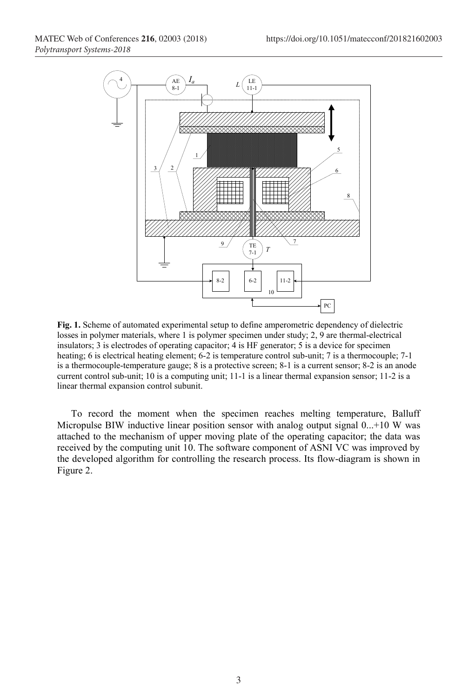

**Fig. 1.** Scheme of automated experimental setup to define amperometric dependency of dielectric losses in polymer materials, where 1 is polymer specimen under study; 2, 9 are thermal-electrical insulators; 3 is electrodes of operating capacitor; 4 is HF generator; 5 is a device for specimen heating; 6 is electrical heating element; 6-2 is temperature control sub-unit; 7 is a thermocouple; 7-1 is a thermocouple-temperature gauge; 8 is a protective screen; 8-1 is a current sensor; 8-2 is an anode current control sub-unit; 10 is a computing unit; 11-1 is a linear thermal expansion sensor; 11-2 is a linear thermal expansion control subunit.

To record the moment when the specimen reaches melting temperature, Balluff Micropulse BIW inductive linear position sensor with analog output signal 0...+10 W was attached to the mechanism of upper moving plate of the operating capacitor; the data was received by the computing unit 10. The software component of ASNI VC was improved by the developed algorithm for controlling the research process. Its flow-diagram is shown in Figure 2.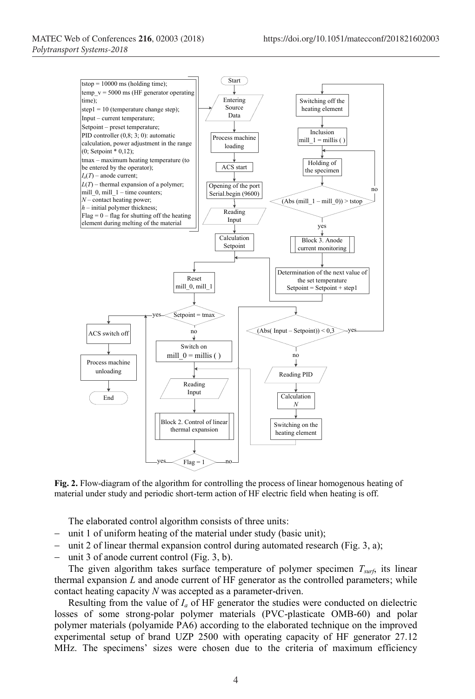

**Fig. 2.** Flow-diagram of the algorithm for controlling the process of linear homogenous heating of material under study and periodic short-term action of HF electric field when heating is off.

The elaborated control algorithm consists of three units:

- $-$  unit 1 of uniform heating of the material under study (basic unit);
- unit 2 of linear thermal expansion control during automated research (Fig. 3, а);
- unit 3 of anode current control (Fig. 3, b).

The given algorithm takes surface temperature of polymer specimen *Tsurf*, its linear thermal expansion  $L$  and anode current of HF generator as the controlled parameters; while contact heating capacity *N* was accepted as a parameter-driven.

Resulting from the value of *Ia* of HF generator the studies were conducted on dielectric losses of some strong-polar polymer materials (PVC-plasticate OMB-60) and polar polymer materials (polyamide PA6) according to the elaborated technique on the improved experimental setup of brand UZP 2500 with operating capacity of HF generator 27.12 MHz. The specimens' sizes were chosen due to the criteria of maximum efficiency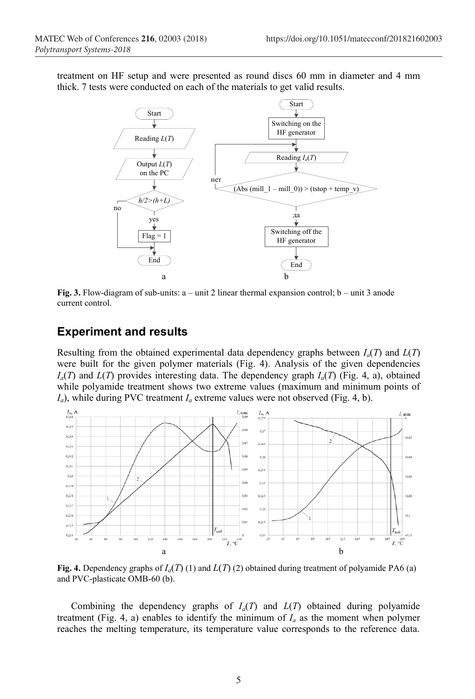treatment on HF setup and were presented as round discs 60 mm in diameter and 4 mm thick. 7 tests were conducted on each of the materials to get valid results.



**Fig. 3.** Flow-diagram of sub-units: а – unit 2 linear thermal expansion control; b – unit 3 anode current control.

# **Experiment and results**

Resulting from the obtained experimental data dependency graphs between  $I_a(T)$  and  $L(T)$ were built for the given polymer materials (Fig. 4). Analysis of the given dependencies  $I_a(T)$  and  $L(T)$  provides interesting data. The dependency graph  $I_a(T)$  (Fig. 4, a), obtained while polyamide treatment shows two extreme values (maximum and minimum points of  $I_a$ ), while during PVC treatment  $I_a$  extreme values were not observed (Fig. 4, b).



**Fig. 4.** Dependency graphs of  $I_a(T)(1)$  and  $L(T)(2)$  obtained during treatment of polyamide PA6 (a) and PVC-plasticate OMB-60 (b).

Combining the dependency graphs of  $I_a(T)$  and  $L(T)$  obtained during polyamide treatment (Fig. 4, a) enables to identify the minimum of  $I_a$  as the moment when polymer reaches the melting temperature, its temperature value corresponds to the reference data.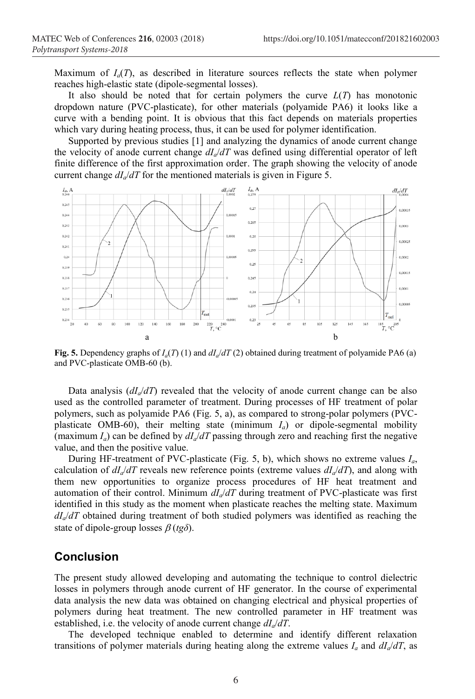Maximum of  $I_a(T)$ , as described in literature sources reflects the state when polymer reaches high-elastic state (dipole-segmental losses).

It also should be noted that for certain polymers the curve  $L(T)$  has monotonic dropdown nature (PVC-plasticate), for other materials (polyamide PA6) it looks like a curve with a bending point. It is obvious that this fact depends on materials properties which vary during heating process, thus, it can be used for polymer identification.

Supported by previous studies [1] and analyzing the dynamics of anode current change the velocity of anode current change  $dI_d/dT$  was defined using differential operator of left finite difference of the first approximation order. The graph showing the velocity of anode current change  $dI_d/dT$  for the mentioned materials is given in Figure 5.



**Fig. 5.** Dependency graphs of  $I_a(T)$  (1) and  $dI_a/dT$  (2) obtained during treatment of polyamide PA6 (a) and PVC-plasticate OMB-60 (b).

Data analysis  $\left(\frac{dI_q}{dT}\right)$  revealed that the velocity of anode current change can be also used as the controlled parameter of treatment. During processes of HF treatment of polar polymers, such as polyamide PA6 (Fig. 5, а), as compared to strong-polar polymers (PVCplasticate OMB-60), their melting state (minimum  $I_a$ ) or dipole-segmental mobility (maximum  $I_a$ ) can be defined by  $dI_a/dT$  passing through zero and reaching first the negative value, and then the positive value.

During HF-treatment of PVC-plasticate (Fig. 5, b), which shows no extreme values *Ia*, calculation of  $dI_a/dT$  reveals new reference points (extreme values  $dI_a/dT$ ), and along with them new opportunities to organize process procedures of HF heat treatment and automation of their control. Minimum  $dI_d/dT$  during treatment of PVC-plasticate was first identified in this study as the moment when plasticate reaches the melting state. Maximum *dIa*/*dT* obtained during treatment of both studied polymers was identified as reaching the state of dipole-group losses  $\beta$  (*tg* $\delta$ ).

## **Conclusion**

The present study allowed developing and automating the technique to control dielectric losses in polymers through anode current of HF generator. In the course of experimental data analysis the new data was obtained on changing electrical and physical properties of polymers during heat treatment. The new controlled parameter in HF treatment was established, i.e. the velocity of anode current change  $dI_d/dT$ .

The developed technique enabled to determine and identify different relaxation transitions of polymer materials during heating along the extreme values  $I_a$  and  $dI_a/dT$ , as